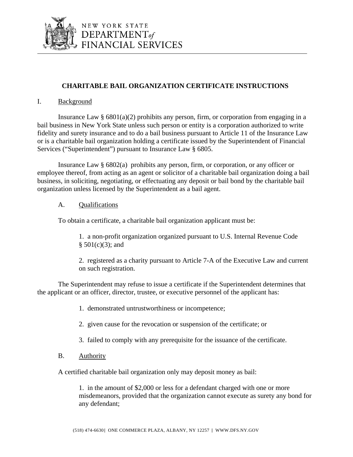

## **CHARITABLE BAIL ORGANIZATION CERTIFICATE INSTRUCTIONS**

## I. Background

Insurance Law  $\S$  6801(a)(2) prohibits any person, firm, or corporation from engaging in a bail business in New York State unless such person or entity is a corporation authorized to write fidelity and surety insurance and to do a bail business pursuant to Article 11 of the Insurance Law or is a charitable bail organization holding a certificate issued by the Superintendent of Financial Services ("Superintendent") pursuant to Insurance Law § 6805.

Insurance Law § 6802(a) prohibits any person, firm, or corporation, or any officer or employee thereof, from acting as an agent or solicitor of a charitable bail organization doing a bail business, in soliciting, negotiating, or effectuating any deposit or bail bond by the charitable bail organization unless licensed by the Superintendent as a bail agent.

## A. Qualifications

To obtain a certificate, a charitable bail organization applicant must be:

1. a non-profit organization organized pursuant to U.S. Internal Revenue Code  $§ 501(c)(3);$  and

2. registered as a charity pursuant to Article 7-A of the Executive Law and current on such registration.

The Superintendent may refuse to issue a certificate if the Superintendent determines that the applicant or an officer, director, trustee, or executive personnel of the applicant has:

- 1. demonstrated untrustworthiness or incompetence;
- 2. given cause for the revocation or suspension of the certificate; or
- 3. failed to comply with any prerequisite for the issuance of the certificate.
- B. Authority

A certified charitable bail organization only may deposit money as bail:

1. in the amount of \$2,000 or less for a defendant charged with one or more misdemeanors, provided that the organization cannot execute as surety any bond for any defendant;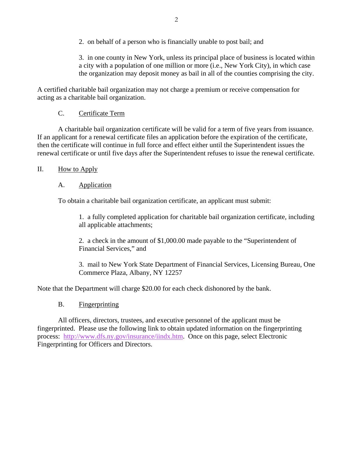2. on behalf of a person who is financially unable to post bail; and

3. in one county in New York, unless its principal place of business is located within a city with a population of one million or more (i.e., New York City), in which case the organization may deposit money as bail in all of the counties comprising the city.

A certified charitable bail organization may not charge a premium or receive compensation for acting as a charitable bail organization.

## C. Certificate Term

 A charitable bail organization certificate will be valid for a term of five years from issuance. If an applicant for a renewal certificate files an application before the expiration of the certificate, then the certificate will continue in full force and effect either until the Superintendent issues the renewal certificate or until five days after the Superintendent refuses to issue the renewal certificate.

## II. How to Apply

## A. Application

To obtain a charitable bail organization certificate, an applicant must submit:

1. a fully completed application for charitable bail organization certificate, including all applicable attachments;

2. a check in the amount of \$1,000.00 made payable to the "Superintendent of Financial Services," and

3. mail to New York State Department of Financial Services, Licensing Bureau, One Commerce Plaza, Albany, NY 12257

Note that the Department will charge \$20.00 for each check dishonored by the bank.

## B. Fingerprinting

 All officers, directors, trustees, and executive personnel of the applicant must be fingerprinted. Please use the following link to obtain updated information on the fingerprinting process: http://www.dfs.ny.gov/insurance/iindx.htm. Once on this page, select Electronic Fingerprinting for Officers and Directors.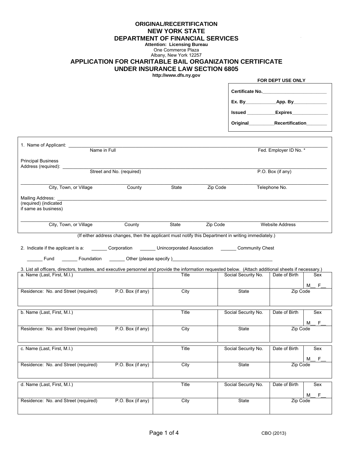### **ORIGINAL/RECERTIFICATION NEW YORK STATE DEPARTMENT OF FINANCIAL SERVICES**

# **Attention: Licensing Bureau**

One Commerce Plaza Albany, New York 12257

### **APPLICATION FOR CHARITABLE BAIL ORGANIZATION CERTIFICATE UNDER INSURANCE LAW SECTION 6805**

**http://www.dfs.ny.gov** 

|                                                                                                                                                                                         |                   |                     | FOR DEPT USE ONLY      |        |
|-----------------------------------------------------------------------------------------------------------------------------------------------------------------------------------------|-------------------|---------------------|------------------------|--------|
|                                                                                                                                                                                         |                   | Certificate No.     |                        |        |
|                                                                                                                                                                                         |                   |                     |                        |        |
|                                                                                                                                                                                         |                   |                     |                        |        |
|                                                                                                                                                                                         |                   |                     |                        |        |
|                                                                                                                                                                                         |                   |                     |                        |        |
| 1. Name of Applicant: _______<br>Name in Full                                                                                                                                           |                   |                     | Fed. Employer ID No. * |        |
| <b>Principal Business</b><br>Address (required): __________                                                                                                                             |                   |                     |                        |        |
| Street and No. (required)                                                                                                                                                               |                   |                     | P.O. Box (if any)      |        |
| City, Town, or Village<br>County                                                                                                                                                        | State<br>Zip Code |                     | Telephone No.          |        |
| Mailing Address: ______________<br>(required) (indicated<br>if same as business)                                                                                                        |                   |                     |                        |        |
| County<br>City, Town, or Village                                                                                                                                                        | State<br>Zip Code |                     | <b>Website Address</b> |        |
| (If either address changes, then the applicant must notify this Department in writing immediately.)                                                                                     |                   |                     |                        |        |
| 2. Indicate if the applicant is a: _________ Corporation ________ Unincorporated Association _______ Community Chest                                                                    |                   |                     |                        |        |
| Letter Council and Council and Tennis Council and Tennis Council and Tennis Council and Tennis Council and Tenn                                                                         |                   |                     |                        |        |
| 3. List all officers, directors, trustees, and executive personnel and provide the information requested below. (Attach additional sheets if necessary.)<br>a. Name (Last, First, M.I.) | Title             | Social Security No. | Date of Birth          | Sex    |
| Residence: No. and Street (required) P.O. Box (if any)                                                                                                                                  | City              | State               | Zip Code               | F<br>M |
|                                                                                                                                                                                         |                   |                     |                        |        |
| b. Name (Last, First, M.I.)                                                                                                                                                             | Title             | Social Security No. | Date of Birth          | Sex    |
|                                                                                                                                                                                         |                   |                     |                        | F<br>М |
| Residence: No. and Street (required)<br>P.O. Box (if any)                                                                                                                               | City              | State               | Zip Code               |        |
| c. Name (Last, First, M.I.)                                                                                                                                                             | Title             | Social Security No. | Date of Birth          | Sex    |
|                                                                                                                                                                                         |                   |                     |                        | F<br>M |
| Residence: No. and Street (required)<br>P.O. Box (if any)                                                                                                                               | City              | State               | Zip Code               |        |
| d. Name (Last, First, M.I.)                                                                                                                                                             | Title             | Social Security No. | Date of Birth          | Sex    |
| P.O. Box (if any)<br>Residence: No. and Street (required)                                                                                                                               | City              | State               | Zip Code               | F<br>M |
|                                                                                                                                                                                         |                   |                     |                        |        |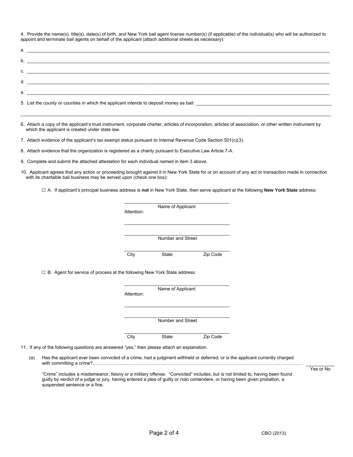4. Provide the name(s), title(s), date(s) of birth, and New York bail agent license number(s) (if applicable) of the individual(s) who will be authorized to appoint and terminate bail agents on behalf of the applicant (attach additional sheets as necessary):

| $\mathbf{C}$ .                                                                                                                                  |
|-------------------------------------------------------------------------------------------------------------------------------------------------|
|                                                                                                                                                 |
| $e$ .                                                                                                                                           |
| 5. List the county or counties in which the applicant intends to deposit money as bail:<br><u> 1990 - Johann Barn, fransk politik (f. 1980)</u> |

6. Attach a copy of the applicant's trust instrument, corporate charter, articles of incorporation, articles of association, or other written instrument by which the applicant is created under state law.

 $\_$  , and the set of the set of the set of the set of the set of the set of the set of the set of the set of the set of the set of the set of the set of the set of the set of the set of the set of the set of the set of th

7. Attach evidence of the applicant's tax exempt status pursuant to Internal Revenue Code Section 501(c)(3).

8. Attach evidence that the organization is registered as a charity pursuant to Executive Law Article 7-A.

 $\_$ 

9. Complete and submit the attached attestation for each individual named in item 3 above.

10. Applicant agrees that any action or proceeding brought against it in New York State for or on account of any act or transaction made in connection with its charitable bail business may be served upon (check one box):

□ A. If applicant's principal business address is **not** in New York State, then serve applicant at the following **New York State** address:

|                                                                            | Attention: | Name of Applicant |          |
|----------------------------------------------------------------------------|------------|-------------------|----------|
|                                                                            |            | Number and Street |          |
|                                                                            | City       | State             | Zip Code |
| □ B. Agent for service of process at the following New York State address: |            |                   |          |
|                                                                            |            |                   |          |
|                                                                            | Attention: | Name of Applicant |          |
|                                                                            |            |                   |          |
|                                                                            |            | Number and Street |          |

 (a) Has the applicant ever been convicted of a crime, had a judgment withheld or deferred, or is the applicant currently charged with committing a crime?…………………...……………………..………………………….………………………………………………...

"Crime" includes a misdemeanor, felony or a military offense. "Convicted" includes, but is not limited to, having been found guilty by verdict of a judge or jury, having entered a plea of guilty or nolo contendere, or having been given probation, a suspended sentence or a fine.

Yes or No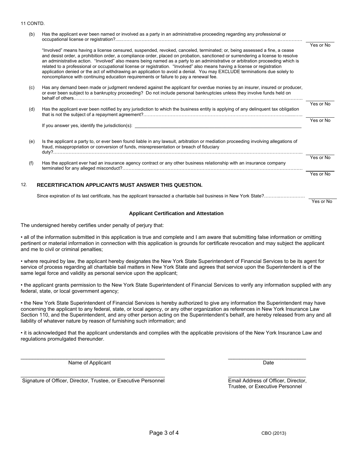#### 11 CONTD.

| (b) | Has the applicant ever been named or involved as a party in an administrative proceeding regarding any professional or                                                                                                                                                                                                                                                                                                                                                                                                                                                                                                                                                                                                                           |           |
|-----|--------------------------------------------------------------------------------------------------------------------------------------------------------------------------------------------------------------------------------------------------------------------------------------------------------------------------------------------------------------------------------------------------------------------------------------------------------------------------------------------------------------------------------------------------------------------------------------------------------------------------------------------------------------------------------------------------------------------------------------------------|-----------|
|     | "Involved" means having a license censured, suspended, revoked, canceled, terminated; or, being assessed a fine, a cease<br>and desist order, a prohibition order, a compliance order, placed on probation, sanctioned or surrendering a license to resolve<br>an administrative action. "Involved" also means being named as a party to an administrative or arbitration proceeding which is<br>related to a professional or occupational license or registration. "Involved" also means having a license or registration<br>application denied or the act of withdrawing an application to avoid a denial. You may EXCLUDE terminations due solely to<br>noncompliance with continuing education requirements or failure to pay a renewal fee. | Yes or No |
| (c) | Has any demand been made or judgment rendered against the applicant for overdue monies by an insurer, insured or producer,<br>or ever been subject to a bankruptcy proceeding? Do not include personal bankruptcies unless they involve funds held on                                                                                                                                                                                                                                                                                                                                                                                                                                                                                            |           |
| (d) | Has the applicant ever been notified by any jurisdiction to which the business entity is applying of any delinquent tax obligation                                                                                                                                                                                                                                                                                                                                                                                                                                                                                                                                                                                                               | Yes or No |
|     | If you answer yes, identify the jurisdiction(s): If you are really contained by the state of the state of the state of the state of the state of the state of the state of the state of the state of the state of the state of                                                                                                                                                                                                                                                                                                                                                                                                                                                                                                                   | Yes or No |
| (e) | Is the applicant a party to, or ever been found liable in any lawsuit, arbitration or mediation proceeding involving allegations of<br>fraud, misappropriation or conversion of funds, misrepresentation or breach of fiduciary                                                                                                                                                                                                                                                                                                                                                                                                                                                                                                                  |           |
| (f) | Has the applicant ever had an insurance agency contract or any other business relationship with an insurance company                                                                                                                                                                                                                                                                                                                                                                                                                                                                                                                                                                                                                             | Yes or No |
|     |                                                                                                                                                                                                                                                                                                                                                                                                                                                                                                                                                                                                                                                                                                                                                  | Yes or No |
| 12. | <b>RECERTIFICATION APPLICANTS MUST ANSWER THIS QUESTION.</b>                                                                                                                                                                                                                                                                                                                                                                                                                                                                                                                                                                                                                                                                                     |           |
|     |                                                                                                                                                                                                                                                                                                                                                                                                                                                                                                                                                                                                                                                                                                                                                  | Yes or No |

#### **Applicant Certification and Attestation**

The undersigned hereby certifies under penalty of perjury that:

• all of the information submitted in this application is true and complete and I am aware that submitting false information or omitting pertinent or material information in connection with this application is grounds for certificate revocation and may subject the applicant and me to civil or criminal penalties;

• where required by law, the applicant hereby designates the New York State Superintendent of Financial Services to be its agent for service of process regarding all charitable bail matters in New York State and agrees that service upon the Superintendent is of the same legal force and validity as personal service upon the applicant;

• the applicant grants permission to the New York State Superintendent of Financial Services to verify any information supplied with any federal, state, or local government agency;

• the New York State Superintendent of Financial Services is hereby authorized to give any information the Superintendent may have concerning the applicant to any federal, state, or local agency, or any other organization as references in New York Insurance Law Section 110, and the Superintendent, and any other person acting on the Superintendent's behalf, are hereby released from any and all liability of whatever nature by reason of furnishing such information; and

• it is acknowledged that the applicant understands and complies with the applicable provisions of the New York Insurance Law and regulations promulgated thereunder.

 $\_$  , and the set of the set of the set of the set of the set of the set of the set of the set of the set of the set of the set of the set of the set of the set of the set of the set of the set of the set of the set of th

 $\_$  , and the set of the set of the set of the set of the set of the set of the set of the set of the set of the set of the set of the set of the set of the set of the set of the set of the set of the set of the set of th

Name of Applicant **Date Date Date Date Date Date Date Date Date Date** 

Signature of Officer, Director, Trustee, or Executive Personnel Email Address of Officer, Director,

Trustee, or Executive Personnel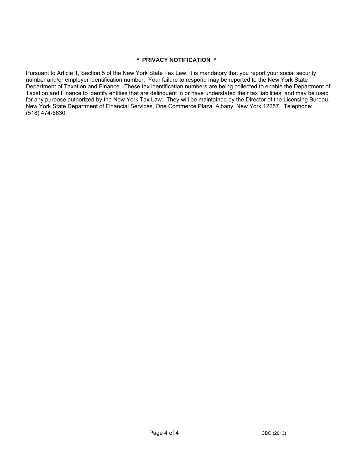### **\* PRIVACY NOTIFICATION \***

Pursuant to Article 1, Section 5 of the New York State Tax Law, it is mandatory that you report your social security number and/or employer identification number. Your failure to respond may be reported to the New York State Department of Taxation and Finance. These tax identification numbers are being collected to enable the Department of Taxation and Finance to identify entities that are delinquent in or have understated their tax liabilities, and may be used for any purpose authorized by the New York Tax Law. They will be maintained by the Director of the Licensing Bureau, New York State Department of Financial Services, One Commerce Plaza, Albany, New York 12257. Telephone: (518) 474-6630.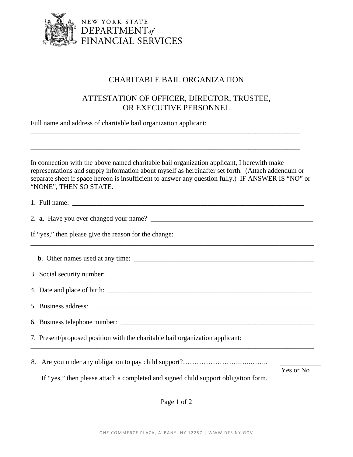

NEW YORK STATE DEPARTMENT<sub>of</sub><br>FINANCIAL SERVICES

# CHARITABLE BAIL ORGANIZATION

# ATTESTATION OF OFFICER, DIRECTOR, TRUSTEE, OR EXECUTIVE PERSONNEL

Full name and address of charitable bail organization applicant:

In connection with the above named charitable bail organization applicant, I herewith make representations and supply information about myself as hereinafter set forth. (Attach addendum or separate sheet if space hereon is insufficient to answer any question fully.) IF ANSWER IS "NO" or "NONE", THEN SO STATE.

\_\_\_\_\_\_\_\_\_\_\_\_\_\_\_\_\_\_\_\_\_\_\_\_\_\_\_\_\_\_\_\_\_\_\_\_\_\_\_\_\_\_\_\_\_\_\_\_\_\_\_\_\_\_\_\_\_\_\_\_\_\_\_\_\_\_\_\_\_\_\_\_\_\_\_\_\_\_

\_\_\_\_\_\_\_\_\_\_\_\_\_\_\_\_\_\_\_\_\_\_\_\_\_\_\_\_\_\_\_\_\_\_\_\_\_\_\_\_\_\_\_\_\_\_\_\_\_\_\_\_\_\_\_\_\_\_\_\_\_\_\_\_\_\_\_\_\_\_\_\_\_\_\_\_\_\_

| If "yes," then please give the reason for the change:                                                                                        |           |  |  |  |
|----------------------------------------------------------------------------------------------------------------------------------------------|-----------|--|--|--|
|                                                                                                                                              |           |  |  |  |
|                                                                                                                                              |           |  |  |  |
|                                                                                                                                              |           |  |  |  |
|                                                                                                                                              |           |  |  |  |
|                                                                                                                                              |           |  |  |  |
| 7. Present/proposed position with the charitable bail organization applicant:<br><u> 1989 - Johann Stoff, amerikansk politiker (d. 1989)</u> |           |  |  |  |
|                                                                                                                                              | Yes or No |  |  |  |

If "yes," then please attach a completed and signed child support obligation form.

Page 1 of 2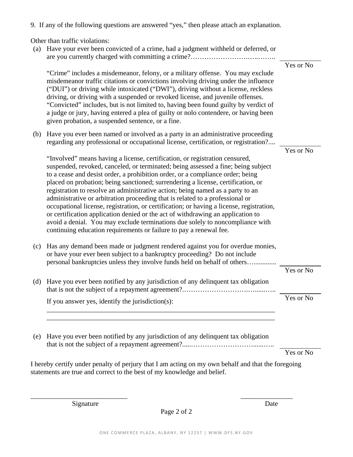9. If any of the following questions are answered "yes," then please attach an explanation.

Other than traffic violations:

|     | (a) Have your ever been convicted of a crime, had a judgment withheld or deferred, or                                                                                                                                                                                                                                                                                                                                                                                                                                                                                                                                                                                                                                                                                                                                                           |           |
|-----|-------------------------------------------------------------------------------------------------------------------------------------------------------------------------------------------------------------------------------------------------------------------------------------------------------------------------------------------------------------------------------------------------------------------------------------------------------------------------------------------------------------------------------------------------------------------------------------------------------------------------------------------------------------------------------------------------------------------------------------------------------------------------------------------------------------------------------------------------|-----------|
|     | "Crime" includes a misdemeanor, felony, or a military offense. You may exclude<br>misdemeanor traffic citations or convictions involving driving under the influence<br>("DUI") or driving while intoxicated ("DWI"), driving without a license, reckless<br>driving, or driving with a suspended or revoked license, and juvenile offenses.<br>"Convicted" includes, but is not limited to, having been found guilty by verdict of<br>a judge or jury, having entered a plea of guilty or nolo contendere, or having been<br>given probation, a suspended sentence, or a fine.                                                                                                                                                                                                                                                                 | Yes or No |
| (b) | Have you ever been named or involved as a party in an administrative proceeding<br>regarding any professional or occupational license, certification, or registration?                                                                                                                                                                                                                                                                                                                                                                                                                                                                                                                                                                                                                                                                          |           |
|     | "Involved" means having a license, certification, or registration censured,<br>suspended, revoked, canceled, or terminated; being assessed a fine; being subject<br>to a cease and desist order, a prohibition order, or a compliance order; being<br>placed on probation; being sanctioned; surrendering a license, certification, or<br>registration to resolve an administrative action; being named as a party to an<br>administrative or arbitration proceeding that is related to a professional or<br>occupational license, registration, or certification; or having a license, registration,<br>or certification application denied or the act of withdrawing an application to<br>avoid a denial. You may exclude terminations due solely to noncompliance with<br>continuing education requirements or failure to pay a renewal fee. | Yes or No |
| (c) | Has any demand been made or judgment rendered against you for overdue monies,<br>or have your ever been subject to a bankruptcy proceeding? Do not include<br>personal bankruptcies unless they involve funds held on behalf of others                                                                                                                                                                                                                                                                                                                                                                                                                                                                                                                                                                                                          |           |
| (d) | Have you ever been notified by any jurisdiction of any delinquent tax obligation                                                                                                                                                                                                                                                                                                                                                                                                                                                                                                                                                                                                                                                                                                                                                                | Yes or No |
|     | If you answer yes, identify the jurisdiction(s):                                                                                                                                                                                                                                                                                                                                                                                                                                                                                                                                                                                                                                                                                                                                                                                                | Yes or No |
| (e) | Have you ever been notified by any jurisdiction of any delinquent tax obligation                                                                                                                                                                                                                                                                                                                                                                                                                                                                                                                                                                                                                                                                                                                                                                |           |
|     |                                                                                                                                                                                                                                                                                                                                                                                                                                                                                                                                                                                                                                                                                                                                                                                                                                                 | Yes or No |
|     | I hereby certify under penalty of perjury that I am acting on my own behalf and that the foregoing<br>statements are true and correct to the best of my knowledge and belief.                                                                                                                                                                                                                                                                                                                                                                                                                                                                                                                                                                                                                                                                   |           |

Signature Date

Page 2 of 2

 $\overline{\phantom{a}}$  , and the contract of the contract of the contract of the contract of the contract of the contract of the contract of the contract of the contract of the contract of the contract of the contract of the contrac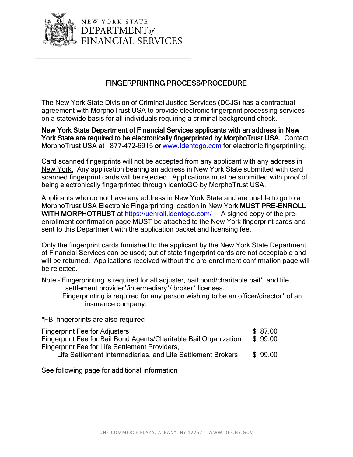

NEW YORK STATE DEPARTMENT<sub>of</sub> FINANCIAL SERVICES

# FINGERPRINTING PROCESS/PROCEDURE

The New York State Division of Criminal Justice Services (DCJS) has a contractual agreement with MorphoTrust USA to provide electronic fingerprint processing services on a statewide basis for all individuals requiring a criminal background check.

New York State Department of Financial Services applicants with an address in New York State are required to be electronically fingerprinted by MorphoTrust USA. Contact MorphoTrust USA at 877-472-6915 or www.Identogo.com for electronic fingerprinting.

Card scanned fingerprints will not be accepted from any applicant with any address in New York. Any application bearing an address in New York State submitted with card scanned fingerprint cards will be rejected. Applications must be submitted with proof of being electronically fingerprinted through IdentoGO by MorphoTrust USA.

Applicants who do not have any address in New York State and are unable to go to a MorphoTrust USA Electronic Fingerprinting location in New York MUST PRE-ENROLL WITH MORPHOTRUST at https://uenroll.identogo.com/ A signed copy of the preenrollment confirmation page MUST be attached to the New York fingerprint cards and sent to this Department with the application packet and licensing fee.

Only the fingerprint cards furnished to the applicant by the New York State Department of Financial Services can be used; out of state fingerprint cards are not acceptable and will be returned. Applications received without the pre-enrollment confirmation page will be rejected.

Note – Fingerprinting is required for all adjuster, bail bond/charitable bail\*, and life settlement provider\*/intermediary\*/ broker\* licenses.

Fingerprinting is required for any person wishing to be an officer/director\* of an insurance company.

\*FBI fingerprints are also required

| <b>Fingerprint Fee for Adjusters</b>                              | \$87.00 |
|-------------------------------------------------------------------|---------|
| Fingerprint Fee for Bail Bond Agents/Charitable Bail Organization | \$99.00 |
| Fingerprint Fee for Life Settlement Providers,                    |         |
| Life Settlement Intermediaries, and Life Settlement Brokers       | \$99.00 |
|                                                                   |         |

See following page for additional information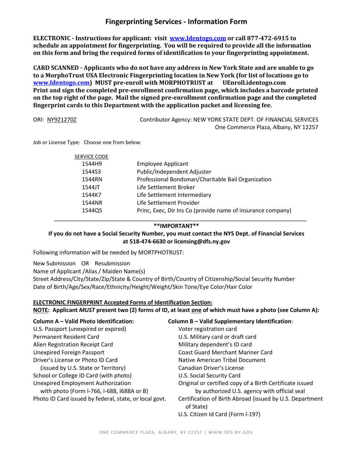## **Fingerprinting Services - Information Form**

**ELECTRONIC - Instructions for applicant: visit www.Identogo.com or call 877-472-6915 to schedule an appointment for fingerprinting. You will be required to provide all the information on this form and bring the required forms of identification to your fingerprinting appointment.**

**CARD SCANNED - Applicants who do not have any address in New York State and are unable to go to a MorphoTrust USA Electronic Fingerprinting location in New York (for list of locations go to www.Identogo.com) MUST pre-enroll with MORPHOTRUST at UEnroll.identogo.com Print and sign the completed pre-enrollment confirmation page, which includes a barcode printed on the top right of the page. Mail the signed pre-enrollment confirmation page and the completed fingerprint cards to this Department with the application packet and licensing fee.**

ORI: NY921270Z Contributor Agency: NEW YORK STATE DEPT. OF FINANCIAL SERVICES One Commerce Plaza, Albany, NY 12257

Job or License Type: Choose one from below:

| <b>SERVICE CODE</b> |                                                             |
|---------------------|-------------------------------------------------------------|
| 1544H9              | <b>Employee Applicant</b>                                   |
| 1544S3              | Public/Independent Adjuster                                 |
| 1544RN              | Professional Bondsman/Charitable Bail Organization          |
| 1544JT              | Life Settlement Broker                                      |
| 1544K7              | Life Settlement Intermediary                                |
| 1544NR              | Life Settlement Provider                                    |
| 154405              | Princ, Exec, Dir Ins Co (provide name of insurance company) |

### \_\_\_\_\_\_\_\_\_\_\_\_\_\_\_\_\_\_\_\_\_\_\_\_\_\_\_\_\_\_\_\_\_\_\_\_\_\_\_\_\_\_\_\_\_\_\_\_\_\_\_\_\_\_\_\_\_\_\_\_\_\_\_\_\_\_\_\_\_\_\_\_\_\_\_\_\_\_\_\_ **\*\*IMPORTANT\*\***

**If you do not have a Social Security Number, you must contact the NYS Dept. of Financial Services at 518-474-6630 or licensing@dfs.ny.gov**

Following information will be needed by MORTPHOTRUST:

New Submission OR Resubmission Name of Applicant /Alias / Maiden Name(s) Street Address/City/State/Zip/State & Country of Birth/Country of Citizenship/Social Security Number Date of Birth/Age/Sex/Race/Ethnicity/Height/Weight/Skin Tone/Eye Color/Hair Color

### **ELECTRONIC FINGERPRINT Accepted Forms of Identification Section:**

**NOTE: Applicant** *MUST* **present two (2) forms of ID, at least one of which must have a photo (see Column A):** 

| Column A - Valid Photo Identification:                                                  | <b>Column B - Valid Supplementary Identification:</b>                                                    |
|-----------------------------------------------------------------------------------------|----------------------------------------------------------------------------------------------------------|
| U.S. Passport (unexpired or expired)                                                    | Voter registration card                                                                                  |
| Permanent Resident Card                                                                 | U.S. Military card or draft card                                                                         |
| Alien Registration Receipt Card                                                         | Military dependent's ID card                                                                             |
| Unexpired Foreign Passport                                                              | <b>Coast Guard Merchant Mariner Card</b>                                                                 |
| Driver's License or Photo ID Card                                                       | Native American Tribal Document                                                                          |
| (issued by U.S. State or Territory)                                                     | Canadian Driver's License                                                                                |
| School or College ID Card (with photo)                                                  | U.S. Social Security Card                                                                                |
| <b>Unexpired Employment Authorization</b><br>with photo (Form I-766, I-688, I688A or B) | Original or certified copy of a Birth Certificate issued<br>by authorized U.S. agency with official seal |
| Photo ID Card issued by federal, state, or local govt.                                  | Certification of Birth Abroad (issued by U.S. Department<br>of State)                                    |
|                                                                                         | U.S. Citizen Id Card (Form I-197)                                                                        |